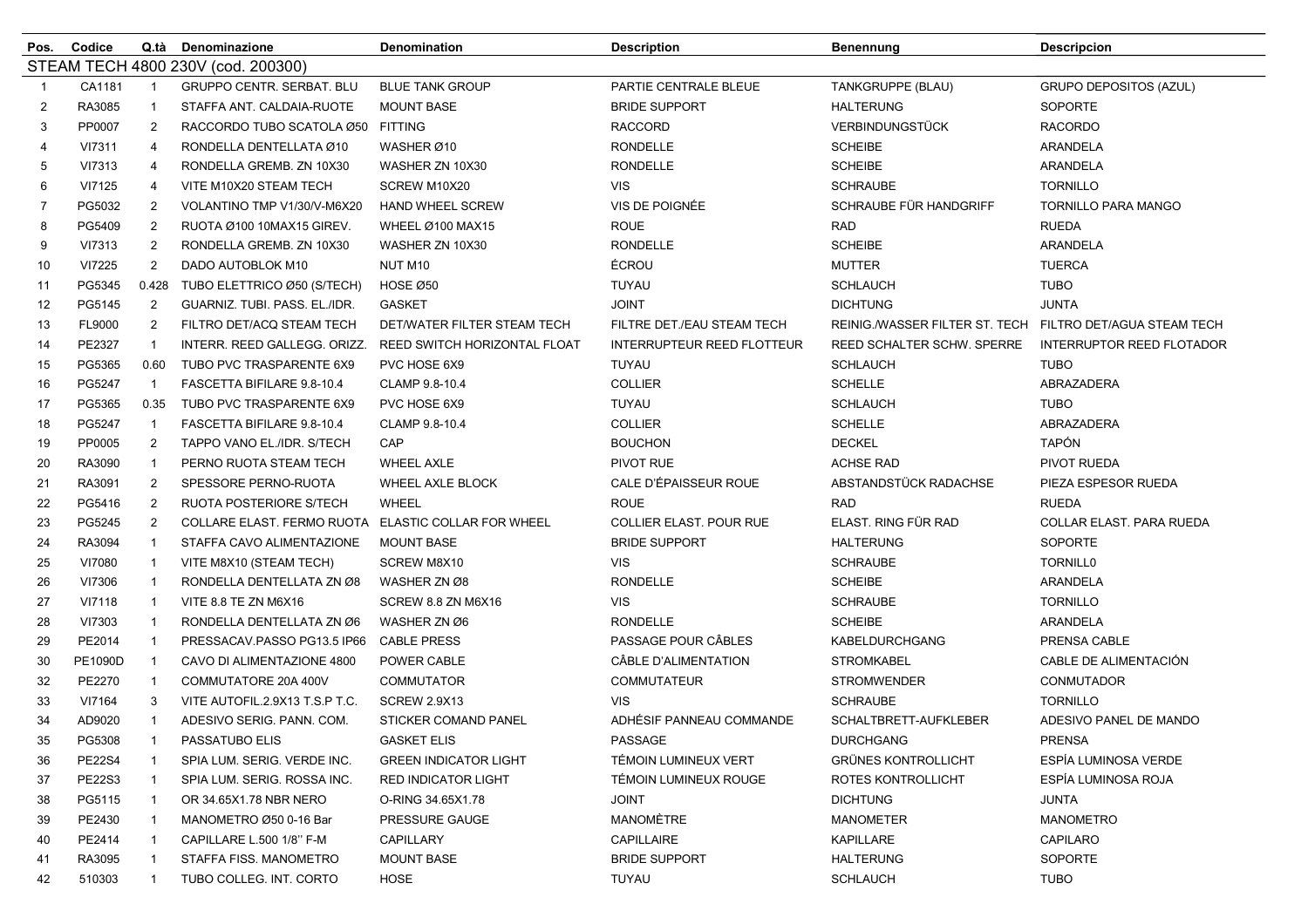| Pos.                               | Codice        | Q.tà           | Denominazione                                       | Denomination                 | <b>Description</b>                | Benennung                         | <b>Descripcion</b>         |  |
|------------------------------------|---------------|----------------|-----------------------------------------------------|------------------------------|-----------------------------------|-----------------------------------|----------------------------|--|
| STEAM TECH 4800 230V (cod. 200300) |               |                |                                                     |                              |                                   |                                   |                            |  |
| -1                                 | CA1181        | $\mathbf{1}$   | <b>GRUPPO CENTR. SERBAT. BLU</b>                    | <b>BLUE TANK GROUP</b>       | PARTIE CENTRALE BLEUE             | TANKGRUPPE (BLAU)                 | GRUPO DEPOSITOS (AZUL)     |  |
| 2                                  | RA3085        | -1             | STAFFA ANT. CALDAIA-RUOTE                           | <b>MOUNT BASE</b>            | <b>BRIDE SUPPORT</b>              | <b>HALTERUNG</b>                  | <b>SOPORTE</b>             |  |
| 3                                  | PP0007        | 2              | RACCORDO TUBO SCATOLA Ø50 FITTING                   |                              | <b>RACCORD</b>                    | <b>VERBINDUNGSTÜCK</b>            | <b>RACORDO</b>             |  |
| 4                                  | VI7311        | 4              | RONDELLA DENTELLATA Ø10                             | WASHER Ø10                   | <b>RONDELLE</b>                   | <b>SCHEIBE</b>                    | ARANDELA                   |  |
| 5                                  | VI7313        | 4              | RONDELLA GREMB. ZN 10X30                            | WASHER ZN 10X30              | <b>RONDELLE</b>                   | <b>SCHEIBE</b>                    | ARANDELA                   |  |
| 6                                  | VI7125        | 4              | VITE M10X20 STEAM TECH                              | SCREW M10X20                 | <b>VIS</b>                        | <b>SCHRAUBE</b>                   | <b>TORNILLO</b>            |  |
| 7                                  | PG5032        | 2              | VOLANTINO TMP V1/30/V-M6X20                         | <b>HAND WHEEL SCREW</b>      | VIS DE POIGNÉE                    | SCHRAUBE FÜR HANDGRIFF            | <b>TORNILLO PARA MANGO</b> |  |
| 8                                  | PG5409        | 2              | RUOTA Ø100 10MAX15 GIREV.                           | WHEEL Ø100 MAX15             | <b>ROUE</b>                       | <b>RAD</b>                        | <b>RUEDA</b>               |  |
| 9                                  | VI7313        | $\overline{c}$ | RONDELLA GREMB. ZN 10X30                            | WASHER ZN 10X30              | <b>RONDELLE</b>                   | <b>SCHEIBE</b>                    | ARANDELA                   |  |
| 10                                 | VI7225        | $\overline{2}$ | DADO AUTOBLOK M10                                   | NUT M10                      | ÉCROU                             | <b>MUTTER</b>                     | <b>TUERCA</b>              |  |
| 11                                 | PG5345        | 0.428          | TUBO ELETTRICO Ø50 (S/TECH)                         | HOSE Ø50                     | <b>TUYAU</b>                      | <b>SCHLAUCH</b>                   | <b>TUBO</b>                |  |
| 12                                 | PG5145        | $\overline{2}$ | GUARNIZ. TUBI. PASS. EL./IDR.                       | <b>GASKET</b>                | <b>JOINT</b>                      | <b>DICHTUNG</b>                   | <b>JUNTA</b>               |  |
| 13                                 | FL9000        | 2              | FILTRO DET/ACQ STEAM TECH                           | DET/WATER FILTER STEAM TECH  | FILTRE DET./EAU STEAM TECH        | REINIG./WASSER FILTER ST. TECH    | FILTRO DET/AGUA STEAM TECH |  |
| 14                                 | PE2327        | $\overline{1}$ | INTERR. REED GALLEGG. ORIZZ.                        | REED SWITCH HORIZONTAL FLOAT | <b>INTERRUPTEUR REED FLOTTEUR</b> | <b>REED SCHALTER SCHW. SPERRE</b> | INTERRUPTOR REED FLOTADOR  |  |
| 15                                 | PG5365        | 0.60           | TUBO PVC TRASPARENTE 6X9                            | PVC HOSE 6X9                 | TUYAU                             | <b>SCHLAUCH</b>                   | <b>TUBO</b>                |  |
| 16                                 | PG5247        | $\mathbf{1}$   | FASCETTA BIFILARE 9.8-10.4                          | CLAMP 9.8-10.4               | <b>COLLIER</b>                    | <b>SCHELLE</b>                    | ABRAZADERA                 |  |
| 17                                 | PG5365        | 0.35           | TUBO PVC TRASPARENTE 6X9                            | PVC HOSE 6X9                 | TUYAU                             | <b>SCHLAUCH</b>                   | <b>TUBO</b>                |  |
| 18                                 | PG5247        | $\mathbf{1}$   | FASCETTA BIFILARE 9.8-10.4                          | CLAMP 9.8-10.4               | <b>COLLIER</b>                    | <b>SCHELLE</b>                    | ABRAZADERA                 |  |
| 19                                 | PP0005        | 2              | TAPPO VANO EL./IDR. S/TECH                          | CAP                          | <b>BOUCHON</b>                    | <b>DECKEL</b>                     | <b>TAPÓN</b>               |  |
| 20                                 | RA3090        | -1             | PERNO RUOTA STEAM TECH                              | <b>WHEEL AXLE</b>            | PIVOT RUE                         | <b>ACHSE RAD</b>                  | PIVOT RUEDA                |  |
| 21                                 | RA3091        | $\overline{c}$ | SPESSORE PERNO-RUOTA                                | WHEEL AXLE BLOCK             | CALE D'ÉPAISSEUR ROUE             | ABSTANDSTÜCK RADACHSE             | PIEZA ESPESOR RUEDA        |  |
| 22                                 | PG5416        | 2              | RUOTA POSTERIORE S/TECH                             | <b>WHEEL</b>                 | <b>ROUE</b>                       | RAD                               | <b>RUEDA</b>               |  |
| 23                                 | PG5245        | $\overline{2}$ | COLLARE ELAST. FERMO RUOTA ELASTIC COLLAR FOR WHEEL |                              | <b>COLLIER ELAST. POUR RUE</b>    | ELAST. RING FÜR RAD               | COLLAR ELAST. PARA RUEDA   |  |
| 24                                 | RA3094        | -1             | STAFFA CAVO ALIMENTAZIONE                           | <b>MOUNT BASE</b>            | <b>BRIDE SUPPORT</b>              | <b>HALTERUNG</b>                  | <b>SOPORTE</b>             |  |
| 25                                 | VI7080        | -1             | VITE M8X10 (STEAM TECH)                             | SCREW M8X10                  | <b>VIS</b>                        | <b>SCHRAUBE</b>                   | <b>TORNILL0</b>            |  |
| 26                                 | VI7306        | $\mathbf{1}$   | RONDELLA DENTELLATA ZN Ø8                           | WASHER ZN Ø8                 | <b>RONDELLE</b>                   | <b>SCHEIBE</b>                    | ARANDELA                   |  |
| 27                                 | VI7118        | $\mathbf{1}$   | VITE 8.8 TE ZN M6X16                                | SCREW 8.8 ZN M6X16           | <b>VIS</b>                        | <b>SCHRAUBE</b>                   | <b>TORNILLO</b>            |  |
| 28                                 | VI7303        | -1             | RONDELLA DENTELLATA ZN Ø6                           | WASHER ZN Ø6                 | <b>RONDELLE</b>                   | <b>SCHEIBE</b>                    | ARANDELA                   |  |
| 29                                 | PE2014        | $\mathbf{1}$   | PRESSACAV.PASSO PG13.5 IP66                         | <b>CABLE PRESS</b>           | PASSAGE POUR CÂBLES               | <b>KABELDURCHGANG</b>             | PRENSA CABLE               |  |
| 30                                 | PE1090D       | $\mathbf{1}$   | CAVO DI ALIMENTAZIONE 4800                          | POWER CABLE                  | CÂBLE D'ALIMENTATION              | <b>STROMKABEL</b>                 | CABLE DE ALIMENTACIÓN      |  |
| 32                                 | PE2270        | -1             | COMMUTATORE 20A 400V                                | COMMUTATOR                   | <b>COMMUTATEUR</b>                | <b>STROMWENDER</b>                | <b>CONMUTADOR</b>          |  |
| 33                                 | VI7164        | 3              | VITE AUTOFIL.2.9X13 T.S.P T.C.                      | <b>SCREW 2.9X13</b>          | <b>VIS</b>                        | <b>SCHRAUBE</b>                   | <b>TORNILLO</b>            |  |
| 34                                 | AD9020        | $\mathbf{1}$   | ADESIVO SERIG. PANN. COM.                           | STICKER COMAND PANEL         | ADHÉSIF PANNEAU COMMANDE          | SCHALTBRETT-AUFKLEBER             | ADESIVO PANEL DE MANDO     |  |
| 35                                 | PG5308        | $\mathbf{1}$   | PASSATUBO ELIS                                      | <b>GASKET ELIS</b>           | PASSAGE                           | <b>DURCHGANG</b>                  | <b>PRENSA</b>              |  |
| 36                                 | <b>PE22S4</b> |                | SPIA LUM. SERIG. VERDE INC.                         | <b>GREEN INDICATOR LIGHT</b> | TÉMOIN LUMINEUX VERT              | <b>GRÜNES KONTROLLICHT</b>        | ESPÍA LUMINOSA VERDE       |  |
| 37                                 | PE22S3        | -1             | SPIA LUM. SERIG. ROSSA INC.                         | <b>RED INDICATOR LIGHT</b>   | TÉMOIN LUMINEUX ROUGE             | ROTES KONTROLLICHT                | ESPÍA LUMINOSA ROJA        |  |
| 38                                 | PG5115        | -1             | OR 34.65X1.78 NBR NERO                              | O-RING 34.65X1.78            | <b>JOINT</b>                      | <b>DICHTUNG</b>                   | JUNTA                      |  |
| 39                                 | PE2430        |                | MANOMETRO Ø50 0-16 Bar                              | PRESSURE GAUGE               | MANOMÈTRE                         | <b>MANOMETER</b>                  | <b>MANOMETRO</b>           |  |
| 40                                 | PE2414        |                | CAPILLARE L.500 1/8" F-M                            | CAPILLARY                    | CAPILLAIRE                        | <b>KAPILLARE</b>                  | CAPILARO                   |  |
| 41                                 | RA3095        | 1              | STAFFA FISS, MANOMETRO                              | <b>MOUNT BASE</b>            | <b>BRIDE SUPPORT</b>              | <b>HALTERUNG</b>                  | SOPORTE                    |  |
| 42                                 | 510303        | -1             | TUBO COLLEG. INT. CORTO                             | HOSE                         | TUYAU                             | <b>SCHLAUCH</b>                   | <b>TUBO</b>                |  |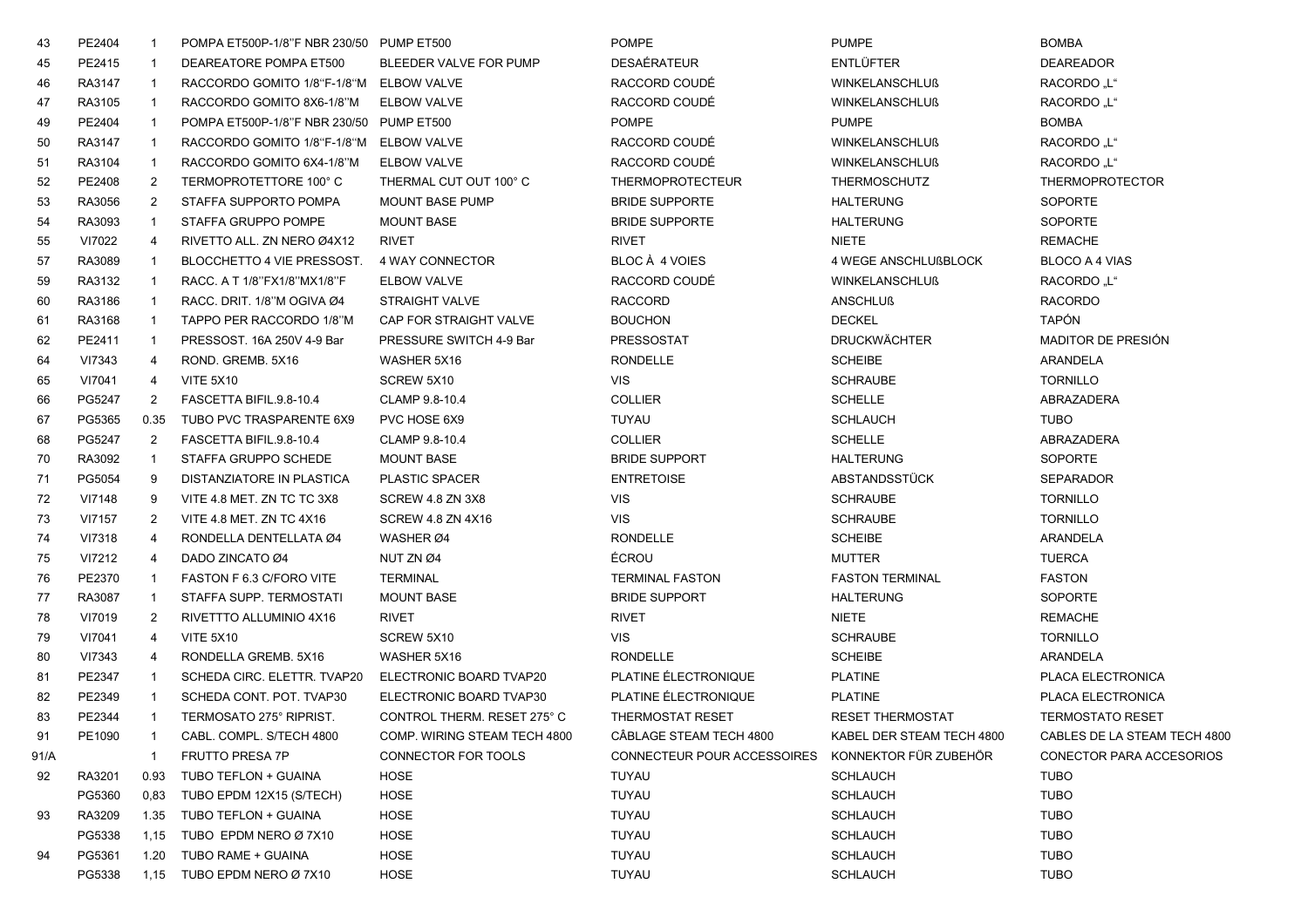| 43   | PE2404 | $\mathbf{1}$   | POMPA ET500P-1/8"F NBR 230/50 PUMP ET500 |                              | <b>POMPE</b>                | <b>PUMPE</b>              | <b>BOMBA</b>                 |
|------|--------|----------------|------------------------------------------|------------------------------|-----------------------------|---------------------------|------------------------------|
| 45   | PE2415 | -1             | DEAREATORE POMPA ET500                   | BLEEDER VALVE FOR PUMP       | DESAÉRATEUR                 | <b>ENTLÜFTER</b>          | <b>DEAREADOR</b>             |
| 46   | RA3147 | $\overline{1}$ | RACCORDO GOMITO 1/8"F-1/8"M ELBOW VALVE  |                              | RACCORD COUDÉ               | <b>WINKELANSCHLUß</b>     | RACORDO .L"                  |
| 47   | RA3105 | $\overline{1}$ | RACCORDO GOMITO 8X6-1/8"M                | <b>ELBOW VALVE</b>           | RACCORD COUDÉ               | <b>WINKELANSCHLUß</b>     | RACORDO "L"                  |
| 49   | PE2404 | $\mathbf{1}$   | POMPA ET500P-1/8"F NBR 230/50            | PUMP ET500                   | <b>POMPE</b>                | <b>PUMPE</b>              | <b>BOMBA</b>                 |
| 50   | RA3147 | $\mathbf{1}$   | RACCORDO GOMITO 1/8"F-1/8"M              | ELBOW VALVE                  | RACCORD COUDÉ               | <b>WINKELANSCHLUß</b>     | RACORDO "L"                  |
| 51   | RA3104 | $\mathbf{1}$   | RACCORDO GOMITO 6X4-1/8"M                | <b>ELBOW VALVE</b>           | RACCORD COUDÉ               | <b>WINKELANSCHLUß</b>     | RACORDO "L"                  |
| 52   | PE2408 | $\overline{2}$ | TERMOPROTETTORE 100°C                    | THERMAL CUT OUT 100° C       | <b>THERMOPROTECTEUR</b>     | <b>THERMOSCHUTZ</b>       | <b>THERMOPROTECTOR</b>       |
| 53   | RA3056 | $\overline{2}$ | STAFFA SUPPORTO POMPA                    | <b>MOUNT BASE PUMP</b>       | <b>BRIDE SUPPORTE</b>       | <b>HALTERUNG</b>          | <b>SOPORTE</b>               |
| 54   | RA3093 | $\mathbf{1}$   | STAFFA GRUPPO POMPE                      | <b>MOUNT BASE</b>            | <b>BRIDE SUPPORTE</b>       | <b>HALTERUNG</b>          | SOPORTE                      |
| 55   | VI7022 | $\overline{4}$ | RIVETTO ALL. ZN NERO Ø4X12               | <b>RIVET</b>                 | <b>RIVET</b>                | <b>NIETE</b>              | <b>REMACHE</b>               |
| 57   | RA3089 | $\mathbf{1}$   | BLOCCHETTO 4 VIE PRESSOST.               | 4 WAY CONNECTOR              | BLOC À 4 VOIES              | 4 WEGE ANSCHLUßBLOCK      | BLOCO A 4 VIAS               |
| 59   | RA3132 | $\mathbf{1}$   | RACC. A T 1/8"FX1/8"MX1/8"F              | ELBOW VALVE                  | RACCORD COUDÉ               | <b>WINKELANSCHLUß</b>     | RACORDO "L"                  |
| 60   | RA3186 | $\mathbf{1}$   | RACC. DRIT. 1/8"M OGIVA Ø4               | <b>STRAIGHT VALVE</b>        | <b>RACCORD</b>              | <b>ANSCHLUß</b>           | <b>RACORDO</b>               |
| 61   | RA3168 | $\overline{1}$ | TAPPO PER RACCORDO 1/8"M                 | CAP FOR STRAIGHT VALVE       | <b>BOUCHON</b>              | <b>DECKEL</b>             | <b>TAPÓN</b>                 |
| 62   | PE2411 | $\mathbf{1}$   | PRESSOST, 16A 250V 4-9 Bar               | PRESSURE SWITCH 4-9 Bar      | <b>PRESSOSTAT</b>           | <b>DRUCKWÄCHTER</b>       | <b>MADITOR DE PRESIÓN</b>    |
| 64   | VI7343 | 4              | ROND. GREMB. 5X16                        | WASHER 5X16                  | <b>RONDELLE</b>             | <b>SCHEIBE</b>            | ARANDELA                     |
| 65   | VI7041 | 4              | <b>VITE 5X10</b>                         | SCREW 5X10                   | <b>VIS</b>                  | <b>SCHRAUBE</b>           | <b>TORNILLO</b>              |
| 66   | PG5247 | $\overline{2}$ | FASCETTA BIFIL.9.8-10.4                  | CLAMP 9.8-10.4               | <b>COLLIER</b>              | <b>SCHELLE</b>            | ABRAZADERA                   |
| 67   | PG5365 | 0.35           | TUBO PVC TRASPARENTE 6X9                 | PVC HOSE 6X9                 | <b>TUYAU</b>                | <b>SCHLAUCH</b>           | <b>TUBO</b>                  |
| 68   | PG5247 | 2              | FASCETTA BIFIL.9.8-10.4                  | CLAMP 9.8-10.4               | <b>COLLIER</b>              | <b>SCHELLE</b>            | ABRAZADERA                   |
| 70   | RA3092 | $\overline{1}$ | STAFFA GRUPPO SCHEDE                     | <b>MOUNT BASE</b>            | <b>BRIDE SUPPORT</b>        | <b>HALTERUNG</b>          | SOPORTE                      |
| 71   | PG5054 | 9              | <b>DISTANZIATORE IN PLASTICA</b>         | <b>PLASTIC SPACER</b>        | <b>ENTRETOISE</b>           | ABSTANDSSTÜCK             | <b>SEPARADOR</b>             |
| 72   | VI7148 | 9              | VITE 4.8 MET. ZN TC TC 3X8               | SCREW 4.8 ZN 3X8             | <b>VIS</b>                  | <b>SCHRAUBE</b>           | <b>TORNILLO</b>              |
| 73   | VI7157 | 2              | VITE 4.8 MET. ZN TC 4X16                 | SCREW 4.8 ZN 4X16            | <b>VIS</b>                  | <b>SCHRAUBE</b>           | <b>TORNILLO</b>              |
| 74   | VI7318 | $\overline{4}$ | RONDELLA DENTELLATA Ø4                   | WASHER Ø4                    | <b>RONDELLE</b>             | <b>SCHEIBE</b>            | ARANDELA                     |
| 75   | VI7212 | 4              | DADO ZINCATO Ø4                          | NUT ZN Ø4                    | ÉCROU                       | <b>MUTTER</b>             | <b>TUERCA</b>                |
| 76   | PE2370 | $\mathbf{1}$   | FASTON F 6.3 C/FORO VITE                 | <b>TERMINAL</b>              | <b>TERMINAL FASTON</b>      | <b>FASTON TERMINAL</b>    | <b>FASTON</b>                |
| 77   | RA3087 | $\overline{1}$ | STAFFA SUPP. TERMOSTATI                  | <b>MOUNT BASE</b>            | <b>BRIDE SUPPORT</b>        | <b>HALTERUNG</b>          | SOPORTE                      |
| 78   | VI7019 | 2              | RIVETTTO ALLUMINIO 4X16                  | <b>RIVET</b>                 | <b>RIVET</b>                | <b>NIETE</b>              | <b>REMACHE</b>               |
| 79   | VI7041 | $\overline{4}$ | <b>VITE 5X10</b>                         | SCREW 5X10                   | <b>VIS</b>                  | <b>SCHRAUBE</b>           | <b>TORNILLO</b>              |
| 80   | VI7343 | $\overline{4}$ | RONDELLA GREMB. 5X16                     | WASHER 5X16                  | <b>RONDELLE</b>             | <b>SCHEIBE</b>            | <b>ARANDELA</b>              |
| 81   | PE2347 | $\mathbf{1}$   | SCHEDA CIRC. ELETTR. TVAP20              | ELECTRONIC BOARD TVAP20      | PLATINE ÉLECTRONIQUE        | <b>PLATINE</b>            | PLACA ELECTRONICA            |
| 82   | PE2349 | -1             | SCHEDA CONT. POT. TVAP30                 | ELECTRONIC BOARD TVAP30      | PLATINE ÉLECTRONIQUE        | <b>PLATINE</b>            | PLACA ELECTRONICA            |
| 83   | PE2344 | -1             | TERMOSATO 275° RIPRIST.                  | CONTROL THERM. RESET 275° C  | <b>THERMOSTAT RESET</b>     | <b>RESET THERMOSTAT</b>   | <b>TERMOSTATO RESET</b>      |
| 91   | PE1090 | $\mathbf{1}$   | CABL. COMPL. S/TECH 4800                 | COMP. WIRING STEAM TECH 4800 | CABLAGE STEAM TECH 4800     | KABEL DER STEAM TECH 4800 | CABLES DE LA STEAM TECH 4800 |
| 91/A |        | $\mathbf{1}$   | <b>FRUTTO PRESA 7P</b>                   | CONNECTOR FOR TOOLS          | CONNECTEUR POUR ACCESSOIRES | KONNEKTOR FÜR ZUBEHÖR     | CONECTOR PARA ACCESORIOS     |
| 92   | RA3201 | 0.93           | TUBO TEFLON + GUAINA                     | HOSE                         | TUYAU                       | <b>SCHLAUCH</b>           | <b>TUBO</b>                  |
|      | PG5360 | 0.83           | TUBO EPDM 12X15 (S/TECH)                 | HOSE                         | TUYAU                       | <b>SCHLAUCH</b>           | <b>TUBO</b>                  |
| 93   | RA3209 | 1.35           | TUBO TEFLON + GUAINA                     | HOSE                         | TUYAU                       | <b>SCHLAUCH</b>           | <b>TUBO</b>                  |
|      | PG5338 | 1,15           | TUBO EPDM NERO Ø 7X10                    | <b>HOSE</b>                  | TUYAU                       | <b>SCHLAUCH</b>           | <b>TUBO</b>                  |
| 94   | PG5361 | 1.20           | TUBO RAME + GUAINA                       | <b>HOSE</b>                  | TUYAU                       | <b>SCHLAUCH</b>           | <b>TUBO</b>                  |
|      | PG5338 | 1,15           | TUBO EPDM NERO Ø 7X10                    | HOSE                         | TUYAU                       | <b>SCHLAUCH</b>           | <b>TUBO</b>                  |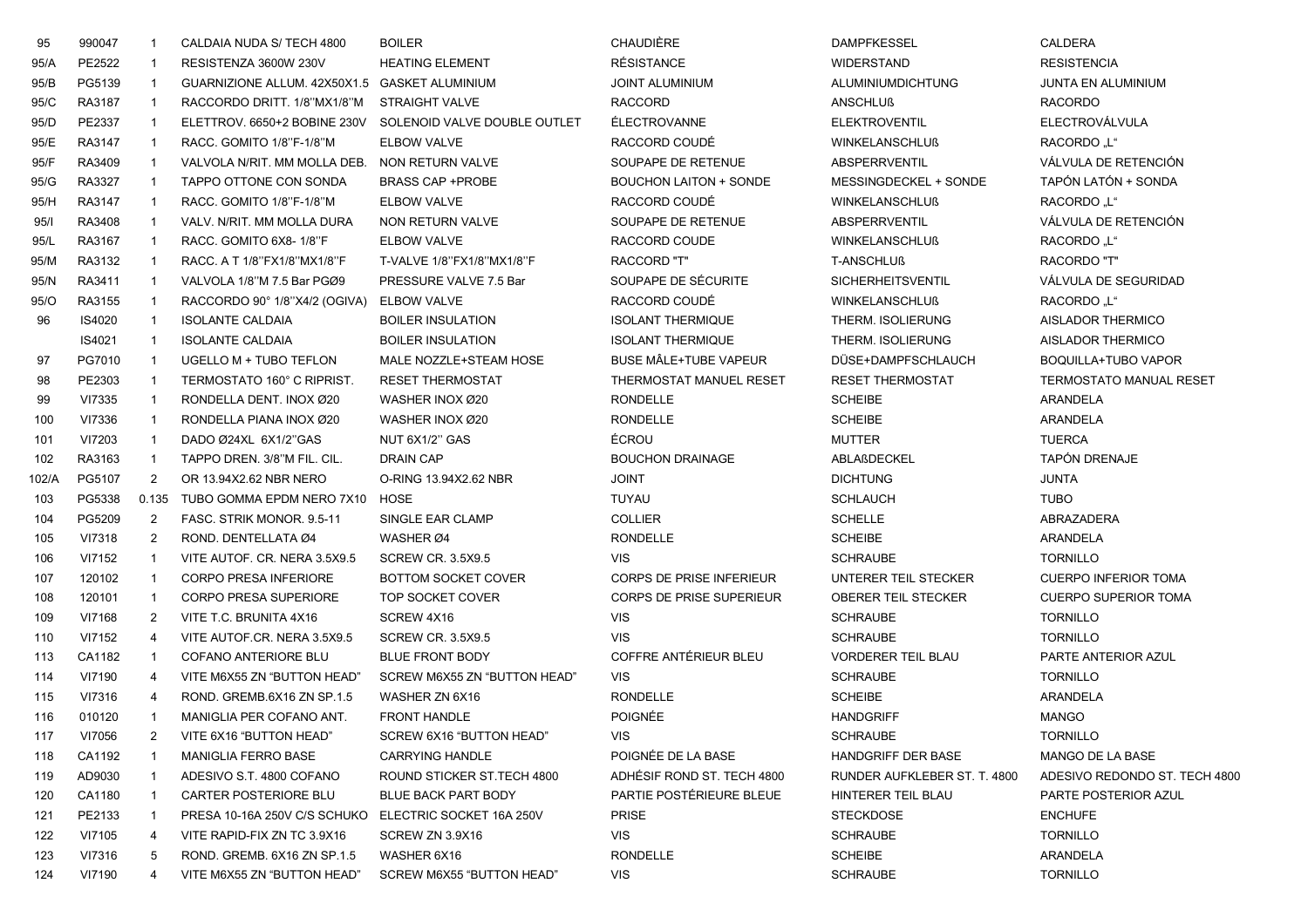| 95    | 990047 | -1                      | CALDAIA NUDA S/ TECH 4800                             | <b>BOILER</b>                | CHAUDIÈRE                       | <b>DAMPFKESSEL</b>           | <b>CALDERA</b>                 |
|-------|--------|-------------------------|-------------------------------------------------------|------------------------------|---------------------------------|------------------------------|--------------------------------|
| 95/A  | PE2522 | -1                      | RESISTENZA 3600W 230V                                 | <b>HEATING ELEMENT</b>       | <b>RÉSISTANCE</b>               | <b>WIDERSTAND</b>            | <b>RESISTENCIA</b>             |
| 95/B  | PG5139 | - 1                     | GUARNIZIONE ALLUM. 42X50X1.5 GASKET ALUMINIUM         |                              | <b>JOINT ALUMINIUM</b>          | ALUMINIUMDICHTUNG            | <b>JUNTA EN ALUMINIUM</b>      |
| 95/C  | RA3187 | - 1                     | RACCORDO DRITT. 1/8"MX1/8"M                           | <b>STRAIGHT VALVE</b>        | <b>RACCORD</b>                  | <b>ANSCHLUß</b>              | <b>RACORDO</b>                 |
| 95/D  | PE2337 | $\overline{\mathbf{1}}$ | ELETTROV. 6650+2 BOBINE 230V                          | SOLENOID VALVE DOUBLE OUTLET | <b>ÉLECTROVANNE</b>             | <b>ELEKTROVENTIL</b>         | ELECTROVÁLVULA                 |
| 95/E  | RA3147 | $\overline{\mathbf{1}}$ | RACC. GOMITO 1/8"F-1/8"M                              | ELBOW VALVE                  | RACCORD COUDÉ                   | <b>WINKELANSCHLUß</b>        | RACORDO .L"                    |
| 95/F  | RA3409 | $\overline{1}$          | VALVOLA N/RIT. MM MOLLA DEB.                          | NON RETURN VALVE             | SOUPAPE DE RETENUE              | ABSPERRVENTIL                | VÁLVULA DE RETENCIÓN           |
| 95/G  | RA3327 | $\overline{1}$          | TAPPO OTTONE CON SONDA                                | <b>BRASS CAP +PROBE</b>      | <b>BOUCHON LAITON + SONDE</b>   | MESSINGDECKEL + SONDE        | TAPÓN LATÓN + SONDA            |
| 95/H  | RA3147 | - 1                     | RACC. GOMITO 1/8"F-1/8"M                              | ELBOW VALVE                  | RACCORD COUDÉ                   | <b>WINKELANSCHLUß</b>        | <b>RACORDO</b> "L"             |
| 95/1  | RA3408 | $\overline{1}$          | VALV. N/RIT. MM MOLLA DURA                            | NON RETURN VALVE             | SOUPAPE DE RETENUE              | <b>ABSPERRVENTIL</b>         | VÁLVULA DE RETENCIÓN           |
| 95/L  | RA3167 | - 1                     | RACC. GOMITO 6X8-1/8"F                                | ELBOW VALVE                  | RACCORD COUDE                   | <b>WINKELANSCHLUß</b>        | RACORDO .L"                    |
| 95/M  | RA3132 | - 1                     | RACC. A T 1/8"FX1/8"MX1/8"F                           | T-VALVE 1/8"FX1/8"MX1/8"F    | <b>RACCORD "T"</b>              | <b>T-ANSCHLUß</b>            | RACORDO "T"                    |
| 95/N  | RA3411 | $\overline{\mathbf{1}}$ | VALVOLA 1/8"M 7.5 Bar PGØ9                            | PRESSURE VALVE 7.5 Bar       | SOUPAPE DE SÉCURITE             | SICHERHEITSVENTIL            | VÁLVULA DE SEGURIDAD           |
| 95/O  | RA3155 | $\overline{\mathbf{1}}$ | RACCORDO 90° 1/8"X4/2 (OGIVA)                         | ELBOW VALVE                  | RACCORD COUDÉ                   | <b>WINKELANSCHLUß</b>        | <b>RACORDO</b> "L"             |
| 96    | IS4020 | $\overline{\mathbf{1}}$ | <b>ISOLANTE CALDAIA</b>                               | <b>BOILER INSULATION</b>     | <b>ISOLANT THERMIQUE</b>        | THERM. ISOLIERUNG            | AISLADOR THERMICO              |
|       | IS4021 | $\overline{\mathbf{1}}$ | <b>ISOLANTE CALDAIA</b>                               | <b>BOILER INSULATION</b>     | <b>ISOLANT THERMIQUE</b>        | THERM. ISOLIERUNG            | AISLADOR THERMICO              |
| 97    | PG7010 | $\overline{1}$          | UGELLO M + TUBO TEFLON                                | MALE NOZZLE+STEAM HOSE       | BUSE MÂLE+TUBE VAPEUR           | DÜSE+DAMPFSCHLAUCH           | BOQUILLA+TUBO VAPOR            |
| 98    | PE2303 | $\overline{1}$          | TERMOSTATO 160° C RIPRIST.                            | <b>RESET THERMOSTAT</b>      | THERMOSTAT MANUEL RESET         | <b>RESET THERMOSTAT</b>      | <b>TERMOSTATO MANUAL RESET</b> |
| 99    | VI7335 | $\overline{1}$          | RONDELLA DENT. INOX Ø20                               | WASHER INOX Ø20              | <b>RONDELLE</b>                 | <b>SCHEIBE</b>               | ARANDELA                       |
| 100   | VI7336 | $\overline{1}$          | RONDELLA PIANA INOX Ø20                               | WASHER INOX Ø20              | <b>RONDELLE</b>                 | <b>SCHEIBE</b>               | ARANDELA                       |
| 101   | VI7203 | $\overline{1}$          | DADO Ø24XL 6X1/2"GAS                                  | NUT 6X1/2" GAS               | ÉCROU                           | <b>MUTTER</b>                | <b>TUERCA</b>                  |
| 102   | RA3163 | $\overline{1}$          | TAPPO DREN. 3/8"M FIL. CIL.                           | <b>DRAIN CAP</b>             | <b>BOUCHON DRAINAGE</b>         | ABLAßDECKEL                  | <b>TAPÓN DRENAJE</b>           |
| 102/A | PG5107 | 2                       | OR 13.94X2.62 NBR NERO                                | O-RING 13.94X2.62 NBR        | <b>JOINT</b>                    | <b>DICHTUNG</b>              | <b>JUNTA</b>                   |
| 103   | PG5338 | 0.135                   | TUBO GOMMA EPDM NERO 7X10                             | HOSE                         | <b>TUYAU</b>                    | <b>SCHLAUCH</b>              | <b>TUBO</b>                    |
| 104   | PG5209 | $\overline{2}$          | FASC. STRIK MONOR. 9.5-11                             | SINGLE EAR CLAMP             | <b>COLLIER</b>                  | <b>SCHELLE</b>               | ABRAZADERA                     |
| 105   | VI7318 | $\overline{2}$          | ROND. DENTELLATA Ø4                                   | WASHER Ø4                    | <b>RONDELLE</b>                 | <b>SCHEIBE</b>               | ARANDELA                       |
| 106   | VI7152 | $\overline{1}$          | VITE AUTOF. CR. NERA 3.5X9.5                          | <b>SCREW CR. 3.5X9.5</b>     | <b>VIS</b>                      | <b>SCHRAUBE</b>              | <b>TORNILLO</b>                |
| 107   | 120102 | $\overline{1}$          | <b>CORPO PRESA INFERIORE</b>                          | BOTTOM SOCKET COVER          | <b>CORPS DE PRISE INFERIEUR</b> | UNTERER TEIL STECKER         | <b>CUERPO INFERIOR TOMA</b>    |
| 108   | 120101 | $\overline{1}$          | <b>CORPO PRESA SUPERIORE</b>                          | TOP SOCKET COVER             | CORPS DE PRISE SUPERIEUR        | <b>OBERER TEIL STECKER</b>   | <b>CUERPO SUPERIOR TOMA</b>    |
| 109   | VI7168 | 2                       | VITE T.C. BRUNITA 4X16                                | SCREW 4X16                   | <b>VIS</b>                      | <b>SCHRAUBE</b>              | <b>TORNILLO</b>                |
| 110   | VI7152 | $\overline{4}$          | VITE AUTOF.CR. NERA 3.5X9.5                           | <b>SCREW CR. 3.5X9.5</b>     | <b>VIS</b>                      | <b>SCHRAUBE</b>              | <b>TORNILLO</b>                |
| 113   | CA1182 | $\overline{1}$          | COFANO ANTERIORE BLU                                  | <b>BLUE FRONT BODY</b>       | COFFRE ANTÉRIEUR BLEU           | <b>VORDERER TEIL BLAU</b>    | PARTE ANTERIOR AZUL            |
| 114   | VI7190 | $\overline{4}$          | VITE M6X55 ZN "BUTTON HEAD"                           | SCREW M6X55 ZN "BUTTON HEAD" | <b>VIS</b>                      | <b>SCHRAUBE</b>              | <b>TORNILLO</b>                |
| 115   | VI7316 | $\overline{4}$          | ROND. GREMB.6X16 ZN SP.1.5                            | WASHER ZN 6X16               | <b>RONDELLE</b>                 | <b>SCHEIBE</b>               | ARANDELA                       |
| 116   | 010120 |                         | MANIGLIA PER COFANO ANT.                              | <b>FRONT HANDLE</b>          | <b>POIGNÉE</b>                  | <b>HANDGRIFF</b>             | <b>MANGO</b>                   |
| 117   | VI7056 | $\overline{2}$          | VITE 6X16 "BUTTON HEAD"                               | SCREW 6X16 "BUTTON HEAD"     | <b>VIS</b>                      | <b>SCHRAUBE</b>              | <b>TORNILLO</b>                |
| 118   | CA1192 |                         | <b>MANIGLIA FERRO BASE</b>                            | CARRYING HANDLE              | POIGNÉE DE LA BASE              | <b>HANDGRIFF DER BASE</b>    | MANGO DE LA BASE               |
| 119   | AD9030 | -1                      | ADESIVO S.T. 4800 COFANO                              | ROUND STICKER ST. TECH 4800  | ADHÉSIF ROND ST. TECH 4800      | RUNDER AUFKLEBER ST. T. 4800 | ADESIVO REDONDO ST. TECH 4800  |
| 120   | CA1180 | -1                      | <b>CARTER POSTERIORE BLU</b>                          | <b>BLUE BACK PART BODY</b>   | PARTIE POSTÉRIEURE BLEUE        | HINTERER TEIL BLAU           | PARTE POSTERIOR AZUL           |
| 121   | PE2133 | -1                      | PRESA 10-16A 250V C/S SCHUKO ELECTRIC SOCKET 16A 250V |                              | <b>PRISE</b>                    | <b>STECKDOSE</b>             | <b>ENCHUFE</b>                 |
| 122   | VI7105 | -4                      | VITE RAPID-FIX ZN TC 3.9X16                           | SCREW ZN 3.9X16              | <b>VIS</b>                      | <b>SCHRAUBE</b>              | <b>TORNILLO</b>                |
| 123   | VI7316 | 5                       | ROND. GREMB. 6X16 ZN SP.1.5                           | WASHER 6X16                  | <b>RONDELLE</b>                 | <b>SCHEIBE</b>               | ARANDELA                       |
| 124   | VI7190 | 4                       | VITE M6X55 ZN "BUTTON HEAD"                           | SCREW M6X55 "BUTTON HEAD"    | VIS                             | <b>SCHRAUBE</b>              | <b>TORNILLO</b>                |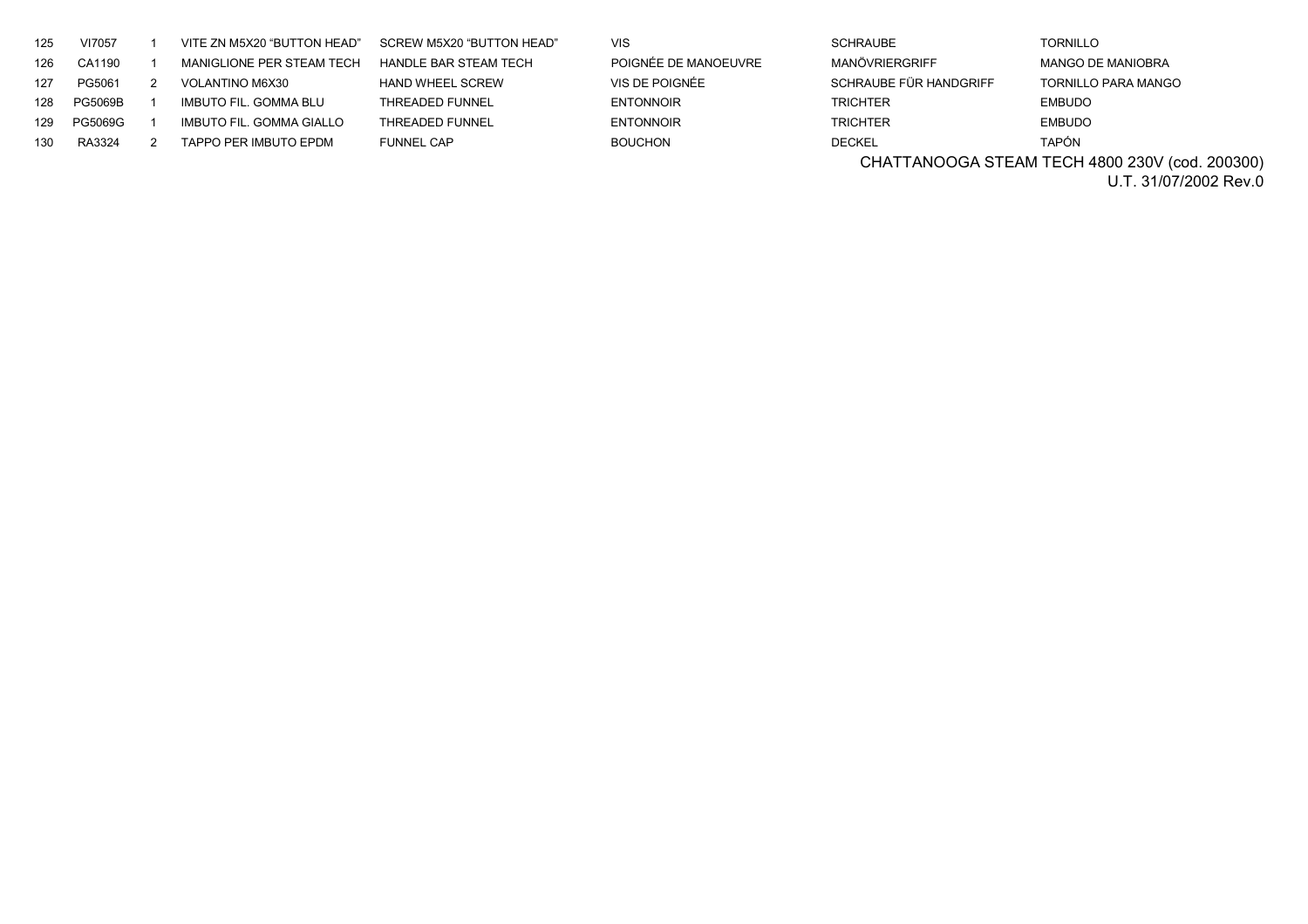| 125 | VI7057         | VITE ZN M5X20 "BUTTON HEAD" | SCREW M5X20 "BUTTON HEAD" | <b>VIS</b>           | <b>SCHRAUBE</b>        | <b>TORNILLO</b>            |
|-----|----------------|-----------------------------|---------------------------|----------------------|------------------------|----------------------------|
| 126 | CA1190         | MANIGLIONE PER STEAM TECH   | HANDLE BAR STEAM TECH     | POIGNÉE DE MANOEUVRE | MANÖVRIERGRIFF         | <b>MANGO DE MANIOBRA</b>   |
| 127 | PG5061         | <b>VOLANTINO M6X30</b>      | <b>HAND WHEEL SCREW</b>   | VIS DE POIGNÉE       | SCHRAUBE FÜR HANDGRIFF | <b>TORNILLO PARA MANGO</b> |
| 128 | <b>PG5069B</b> | IMBUTO FIL. GOMMA BLU       | THREADED FUNNEL           | <b>ENTONNOIR</b>     | <b>TRICHTER</b>        | <b>EMBUDO</b>              |
| 129 | PG5069G        | IMBUTO FIL. GOMMA GIALLO    | <b>THREADED FUNNEL</b>    | <b>ENTONNOIR</b>     | <b>TRICHTER</b>        | <b>EMBUDO</b>              |
| 130 | RA3324         | TAPPO PER IMBUTO EPDM       | <b>FUNNEL CAP</b>         | <b>BOUCHON</b>       | <b>DECKEL</b>          | <b>TAPÓN</b>               |

CHATTANOOGA STEAM TECH 4800 230V (cod. 200300)

U.T. 31/07/2002 Rev.0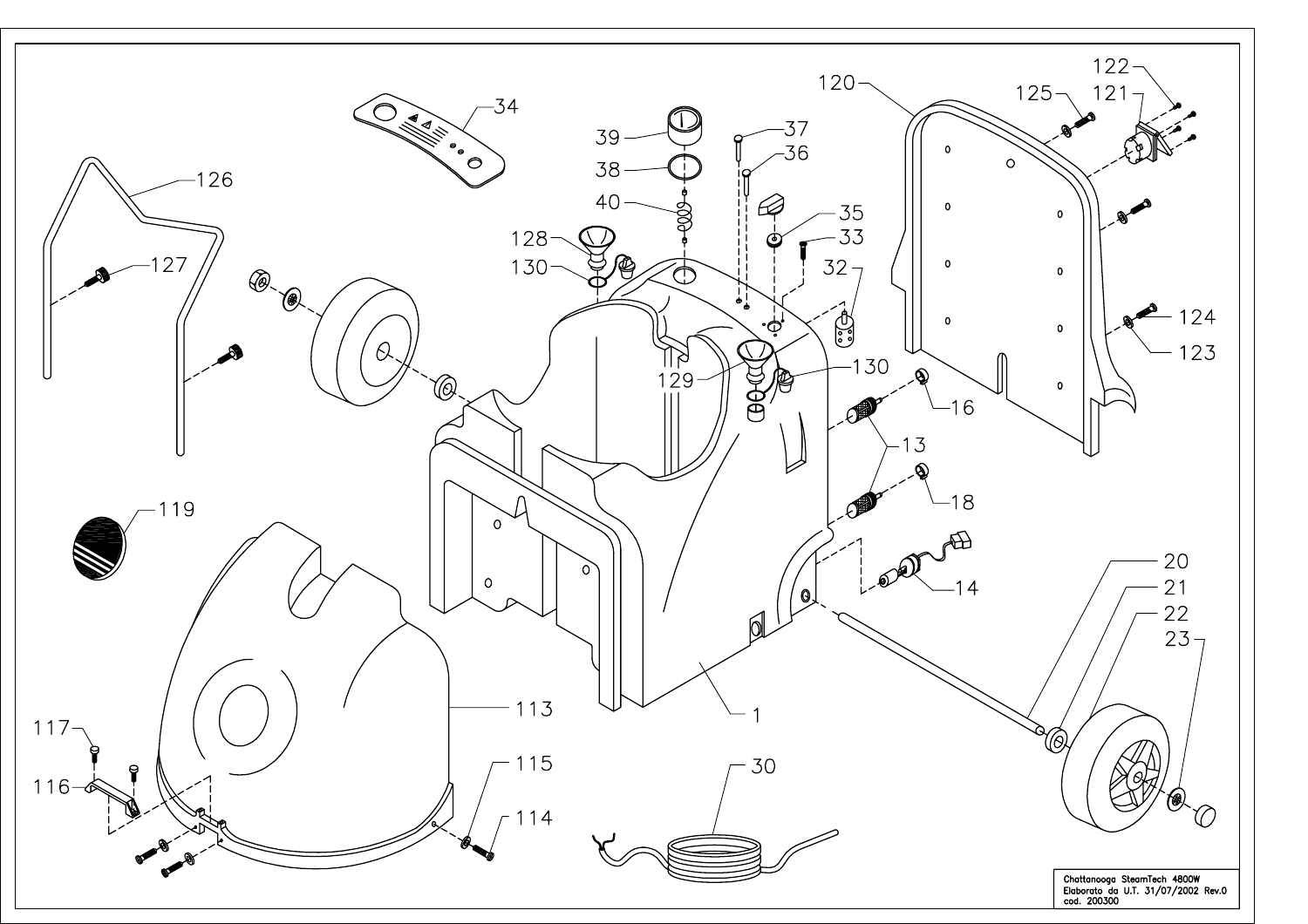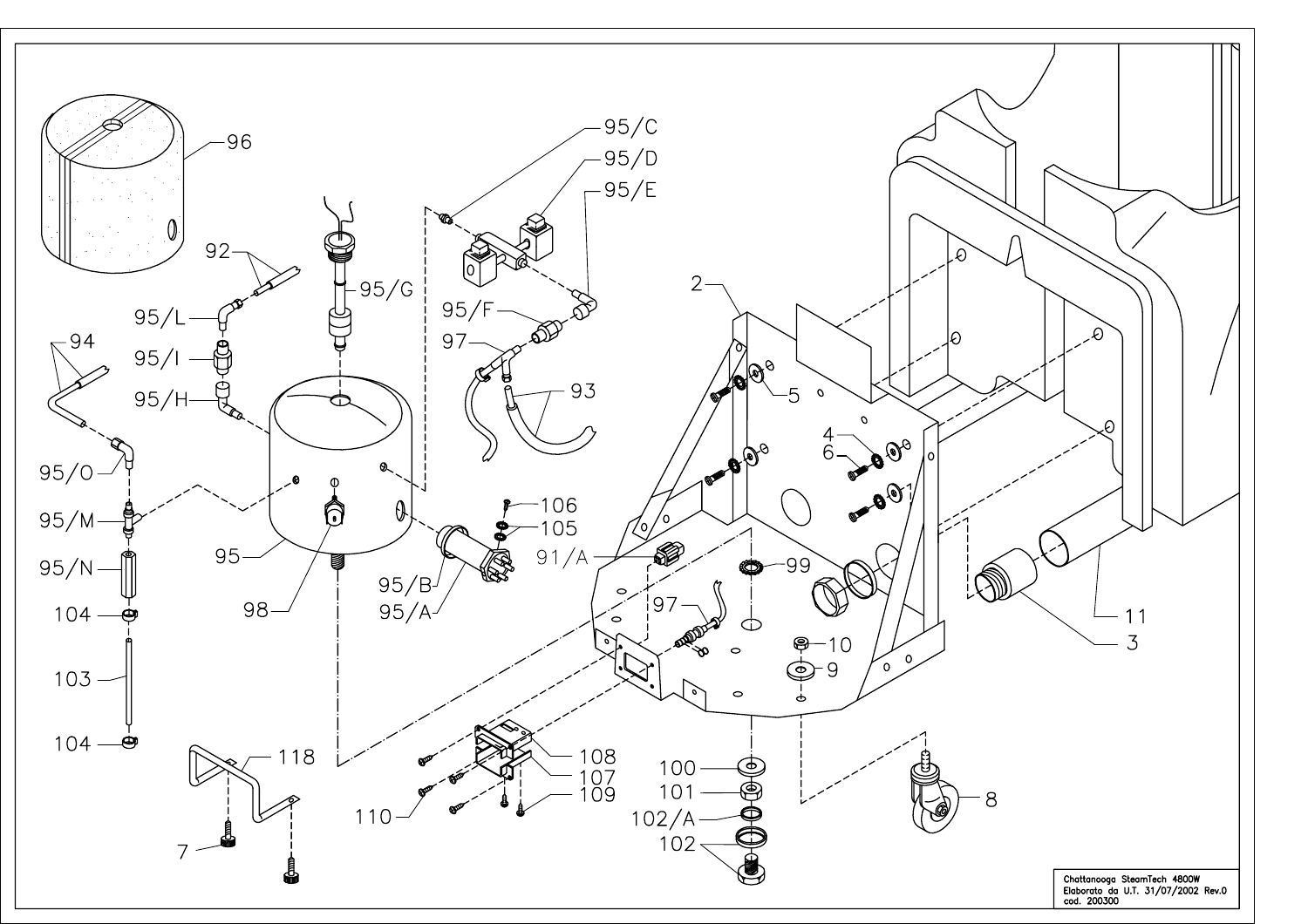